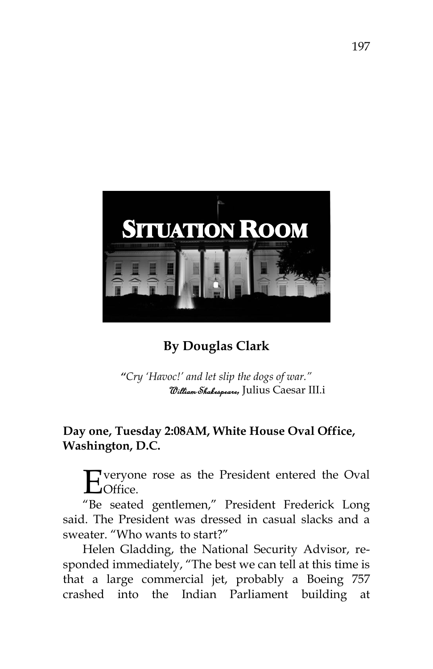

## **By Douglas Clark**

 *"Cry 'Havoc!' and let slip the dogs of war."*  William Shakespeare, Julius Caesar III.i

## **Day one, Tuesday 2:08AM, White House Oval Office, Washington, D.C.**

veryone rose as the President entered the Oval Office. E

"Be seated gentlemen," President Frederick Long said. The President was dressed in casual slacks and a sweater. "Who wants to start?"

Helen Gladding, the National Security Advisor, responded immediately, "The best we can tell at this time is that a large commercial jet, probably a Boeing 757 crashed into the Indian Parliament building at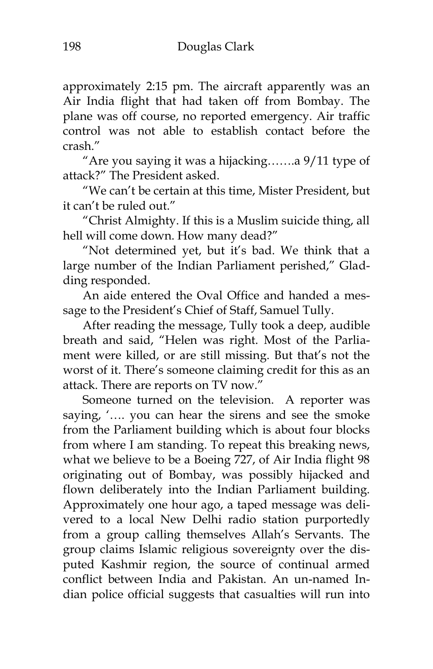approximately 2:15 pm. The aircraft apparently was an Air India flight that had taken off from Bombay. The plane was off course, no reported emergency. Air traffic control was not able to establish contact before the crash."

"Are you saying it was a hijacking…….a 9/11 type of attack?" The President asked.

"We can"t be certain at this time, Mister President, but it can"t be ruled out."

"Christ Almighty. If this is a Muslim suicide thing, all hell will come down. How many dead?"

"Not determined yet, but it's bad. We think that a large number of the Indian Parliament perished," Gladding responded.

An aide entered the Oval Office and handed a message to the President's Chief of Staff, Samuel Tully.

After reading the message, Tully took a deep, audible breath and said, "Helen was right. Most of the Parliament were killed, or are still missing. But that's not the worst of it. There"s someone claiming credit for this as an attack. There are reports on TV now."

Someone turned on the television. A reporter was saying, ".... you can hear the sirens and see the smoke from the Parliament building which is about four blocks from where I am standing. To repeat this breaking news, what we believe to be a Boeing 727, of Air India flight 98 originating out of Bombay, was possibly hijacked and flown deliberately into the Indian Parliament building. Approximately one hour ago, a taped message was delivered to a local New Delhi radio station purportedly from a group calling themselves Allah"s Servants. The group claims Islamic religious sovereignty over the disputed Kashmir region, the source of continual armed conflict between India and Pakistan. An un-named Indian police official suggests that casualties will run into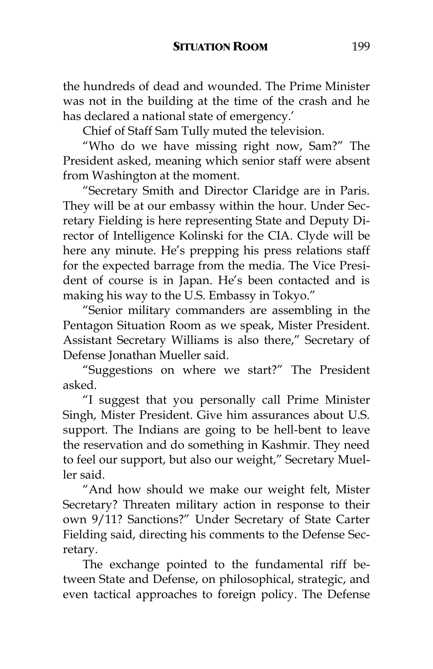the hundreds of dead and wounded. The Prime Minister was not in the building at the time of the crash and he has declared a national state of emergency.'

Chief of Staff Sam Tully muted the television.

"Who do we have missing right now, Sam?" The President asked, meaning which senior staff were absent from Washington at the moment.

"Secretary Smith and Director Claridge are in Paris. They will be at our embassy within the hour. Under Secretary Fielding is here representing State and Deputy Director of Intelligence Kolinski for the CIA. Clyde will be here any minute. He's prepping his press relations staff for the expected barrage from the media. The Vice President of course is in Japan. He's been contacted and is making his way to the U.S. Embassy in Tokyo."

"Senior military commanders are assembling in the Pentagon Situation Room as we speak, Mister President. Assistant Secretary Williams is also there," Secretary of Defense Jonathan Mueller said.

"Suggestions on where we start?" The President asked.

"I suggest that you personally call Prime Minister Singh, Mister President. Give him assurances about U.S. support. The Indians are going to be hell-bent to leave the reservation and do something in Kashmir. They need to feel our support, but also our weight," Secretary Mueller said.

"And how should we make our weight felt, Mister Secretary? Threaten military action in response to their own 9/11? Sanctions?" Under Secretary of State Carter Fielding said, directing his comments to the Defense Secretary.

The exchange pointed to the fundamental riff between State and Defense, on philosophical, strategic, and even tactical approaches to foreign policy. The Defense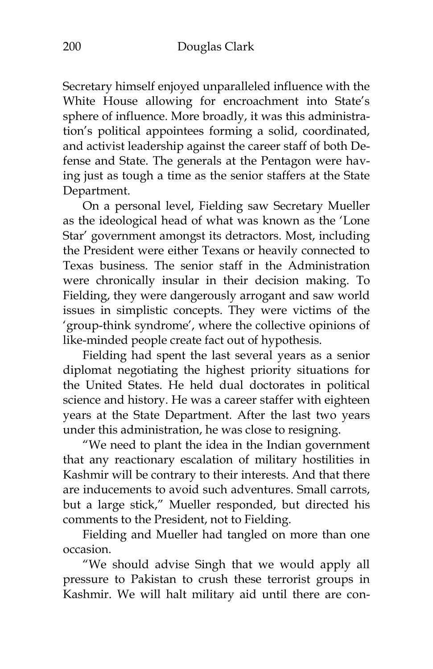Secretary himself enjoyed unparalleled influence with the White House allowing for encroachment into State"s sphere of influence. More broadly, it was this administration"s political appointees forming a solid, coordinated, and activist leadership against the career staff of both Defense and State. The generals at the Pentagon were having just as tough a time as the senior staffers at the State Department.

On a personal level, Fielding saw Secretary Mueller as the ideological head of what was known as the "Lone Star" government amongst its detractors. Most, including the President were either Texans or heavily connected to Texas business. The senior staff in the Administration were chronically insular in their decision making. To Fielding, they were dangerously arrogant and saw world issues in simplistic concepts. They were victims of the "group-think syndrome", where the collective opinions of like-minded people create fact out of hypothesis.

Fielding had spent the last several years as a senior diplomat negotiating the highest priority situations for the United States. He held dual doctorates in political science and history. He was a career staffer with eighteen years at the State Department. After the last two years under this administration, he was close to resigning.

"We need to plant the idea in the Indian government that any reactionary escalation of military hostilities in Kashmir will be contrary to their interests. And that there are inducements to avoid such adventures. Small carrots, but a large stick," Mueller responded, but directed his comments to the President, not to Fielding.

Fielding and Mueller had tangled on more than one occasion.

"We should advise Singh that we would apply all pressure to Pakistan to crush these terrorist groups in Kashmir. We will halt military aid until there are con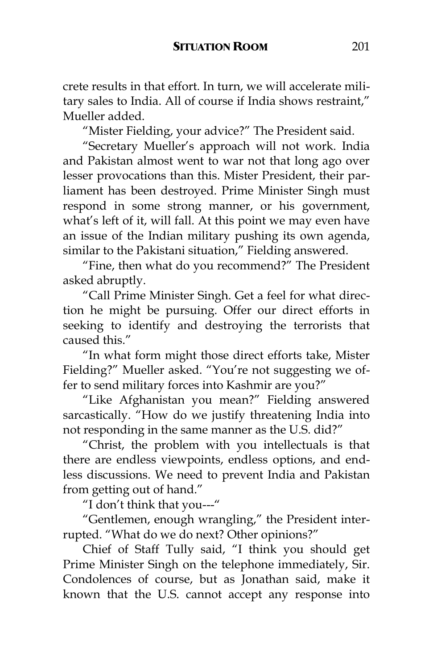crete results in that effort. In turn, we will accelerate military sales to India. All of course if India shows restraint," Mueller added.

"Mister Fielding, your advice?" The President said.

"Secretary Mueller"s approach will not work. India and Pakistan almost went to war not that long ago over lesser provocations than this. Mister President, their parliament has been destroyed. Prime Minister Singh must respond in some strong manner, or his government, what's left of it, will fall. At this point we may even have an issue of the Indian military pushing its own agenda, similar to the Pakistani situation," Fielding answered.

"Fine, then what do you recommend?" The President asked abruptly.

"Call Prime Minister Singh. Get a feel for what direction he might be pursuing. Offer our direct efforts in seeking to identify and destroying the terrorists that caused this."

"In what form might those direct efforts take, Mister Fielding?" Mueller asked. "You're not suggesting we offer to send military forces into Kashmir are you?"

"Like Afghanistan you mean?" Fielding answered sarcastically. "How do we justify threatening India into not responding in the same manner as the U.S. did?"

"Christ, the problem with you intellectuals is that there are endless viewpoints, endless options, and endless discussions. We need to prevent India and Pakistan from getting out of hand."

"I don"t think that you---"

"Gentlemen, enough wrangling," the President interrupted. "What do we do next? Other opinions?"

Chief of Staff Tully said, "I think you should get Prime Minister Singh on the telephone immediately, Sir. Condolences of course, but as Jonathan said, make it known that the U.S. cannot accept any response into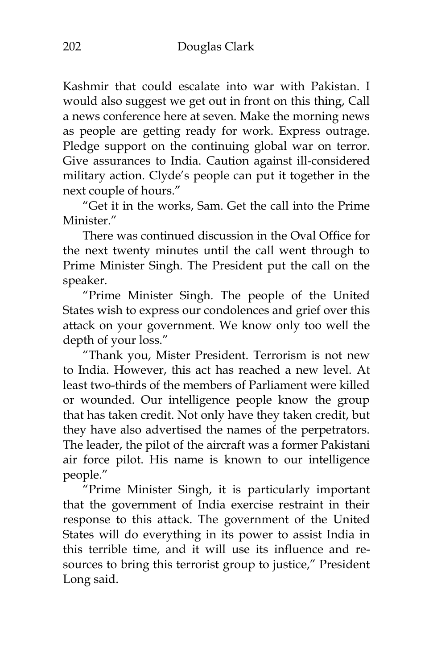Kashmir that could escalate into war with Pakistan. I would also suggest we get out in front on this thing, Call a news conference here at seven. Make the morning news as people are getting ready for work. Express outrage. Pledge support on the continuing global war on terror. Give assurances to India. Caution against ill-considered military action. Clyde"s people can put it together in the next couple of hours."

"Get it in the works, Sam. Get the call into the Prime Minister."

There was continued discussion in the Oval Office for the next twenty minutes until the call went through to Prime Minister Singh. The President put the call on the speaker.

"Prime Minister Singh. The people of the United States wish to express our condolences and grief over this attack on your government. We know only too well the depth of your loss."

"Thank you, Mister President. Terrorism is not new to India. However, this act has reached a new level. At least two-thirds of the members of Parliament were killed or wounded. Our intelligence people know the group that has taken credit. Not only have they taken credit, but they have also advertised the names of the perpetrators. The leader, the pilot of the aircraft was a former Pakistani air force pilot. His name is known to our intelligence people."

"Prime Minister Singh, it is particularly important that the government of India exercise restraint in their response to this attack. The government of the United States will do everything in its power to assist India in this terrible time, and it will use its influence and resources to bring this terrorist group to justice," President Long said.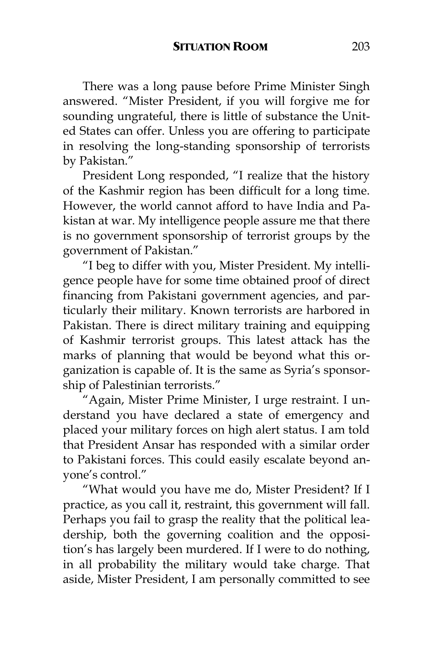There was a long pause before Prime Minister Singh answered. "Mister President, if you will forgive me for sounding ungrateful, there is little of substance the United States can offer. Unless you are offering to participate in resolving the long-standing sponsorship of terrorists by Pakistan."

President Long responded, "I realize that the history of the Kashmir region has been difficult for a long time. However, the world cannot afford to have India and Pakistan at war. My intelligence people assure me that there is no government sponsorship of terrorist groups by the government of Pakistan."

"I beg to differ with you, Mister President. My intelligence people have for some time obtained proof of direct financing from Pakistani government agencies, and particularly their military. Known terrorists are harbored in Pakistan. There is direct military training and equipping of Kashmir terrorist groups. This latest attack has the marks of planning that would be beyond what this organization is capable of. It is the same as Syria's sponsorship of Palestinian terrorists."

"Again, Mister Prime Minister, I urge restraint. I understand you have declared a state of emergency and placed your military forces on high alert status. I am told that President Ansar has responded with a similar order to Pakistani forces. This could easily escalate beyond anyone"s control."

"What would you have me do, Mister President? If I practice, as you call it, restraint, this government will fall. Perhaps you fail to grasp the reality that the political leadership, both the governing coalition and the opposition"s has largely been murdered. If I were to do nothing, in all probability the military would take charge. That aside, Mister President, I am personally committed to see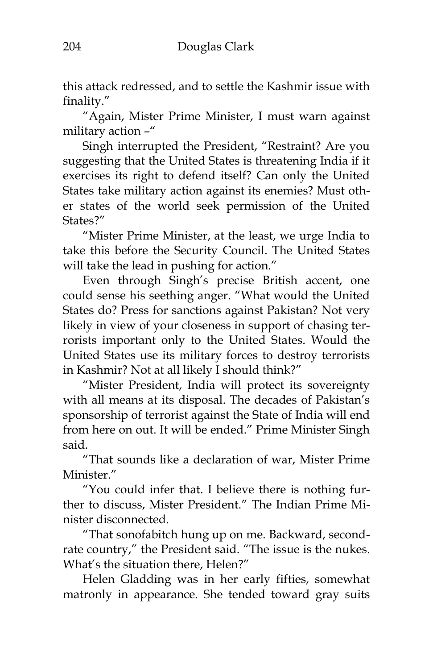this attack redressed, and to settle the Kashmir issue with finality."

"Again, Mister Prime Minister, I must warn against military action –"

Singh interrupted the President, "Restraint? Are you suggesting that the United States is threatening India if it exercises its right to defend itself? Can only the United States take military action against its enemies? Must other states of the world seek permission of the United States?"

"Mister Prime Minister, at the least, we urge India to take this before the Security Council. The United States will take the lead in pushing for action."

Even through Singh"s precise British accent, one could sense his seething anger. "What would the United States do? Press for sanctions against Pakistan? Not very likely in view of your closeness in support of chasing terrorists important only to the United States. Would the United States use its military forces to destroy terrorists in Kashmir? Not at all likely I should think?"

"Mister President, India will protect its sovereignty with all means at its disposal. The decades of Pakistan's sponsorship of terrorist against the State of India will end from here on out. It will be ended." Prime Minister Singh said.

"That sounds like a declaration of war, Mister Prime Minister."

"You could infer that. I believe there is nothing further to discuss, Mister President." The Indian Prime Minister disconnected.

"That sonofabitch hung up on me. Backward, secondrate country," the President said. "The issue is the nukes. What's the situation there, Helen?"

Helen Gladding was in her early fifties, somewhat matronly in appearance. She tended toward gray suits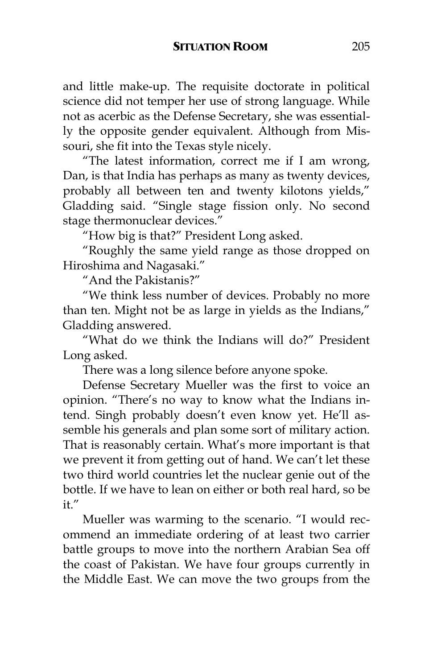and little make-up. The requisite doctorate in political science did not temper her use of strong language. While not as acerbic as the Defense Secretary, she was essentially the opposite gender equivalent. Although from Missouri, she fit into the Texas style nicely.

"The latest information, correct me if I am wrong, Dan, is that India has perhaps as many as twenty devices, probably all between ten and twenty kilotons yields," Gladding said. "Single stage fission only. No second stage thermonuclear devices."

"How big is that?" President Long asked.

"Roughly the same yield range as those dropped on Hiroshima and Nagasaki."

"And the Pakistanis?"

"We think less number of devices. Probably no more than ten. Might not be as large in yields as the Indians," Gladding answered.

"What do we think the Indians will do?" President Long asked.

There was a long silence before anyone spoke.

Defense Secretary Mueller was the first to voice an opinion. "There"s no way to know what the Indians intend. Singh probably doesn't even know yet. He'll assemble his generals and plan some sort of military action. That is reasonably certain. What"s more important is that we prevent it from getting out of hand. We can't let these two third world countries let the nuclear genie out of the bottle. If we have to lean on either or both real hard, so be  $i t$ ."

Mueller was warming to the scenario. "I would recommend an immediate ordering of at least two carrier battle groups to move into the northern Arabian Sea off the coast of Pakistan. We have four groups currently in the Middle East. We can move the two groups from the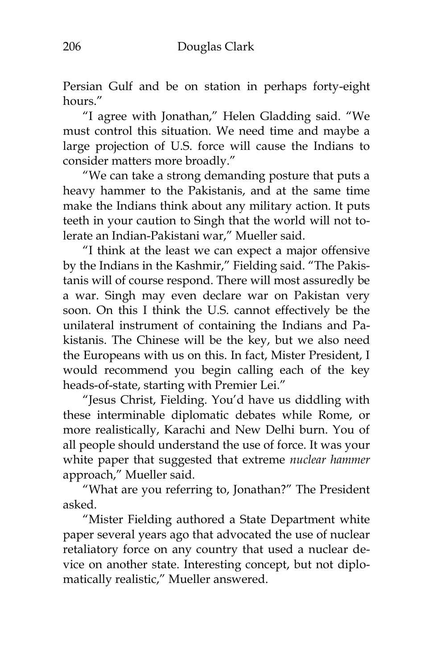Persian Gulf and be on station in perhaps forty-eight hours."

"I agree with Jonathan," Helen Gladding said. "We must control this situation. We need time and maybe a large projection of U.S. force will cause the Indians to consider matters more broadly."

"We can take a strong demanding posture that puts a heavy hammer to the Pakistanis, and at the same time make the Indians think about any military action. It puts teeth in your caution to Singh that the world will not tolerate an Indian-Pakistani war," Mueller said.

"I think at the least we can expect a major offensive by the Indians in the Kashmir," Fielding said. "The Pakistanis will of course respond. There will most assuredly be a war. Singh may even declare war on Pakistan very soon. On this I think the U.S. cannot effectively be the unilateral instrument of containing the Indians and Pakistanis. The Chinese will be the key, but we also need the Europeans with us on this. In fact, Mister President, I would recommend you begin calling each of the key heads-of-state, starting with Premier Lei."

"Jesus Christ, Fielding. You"d have us diddling with these interminable diplomatic debates while Rome, or more realistically, Karachi and New Delhi burn. You of all people should understand the use of force. It was your white paper that suggested that extreme *nuclear hammer* approach," Mueller said.

"What are you referring to, Jonathan?" The President asked.

"Mister Fielding authored a State Department white paper several years ago that advocated the use of nuclear retaliatory force on any country that used a nuclear device on another state. Interesting concept, but not diplomatically realistic," Mueller answered.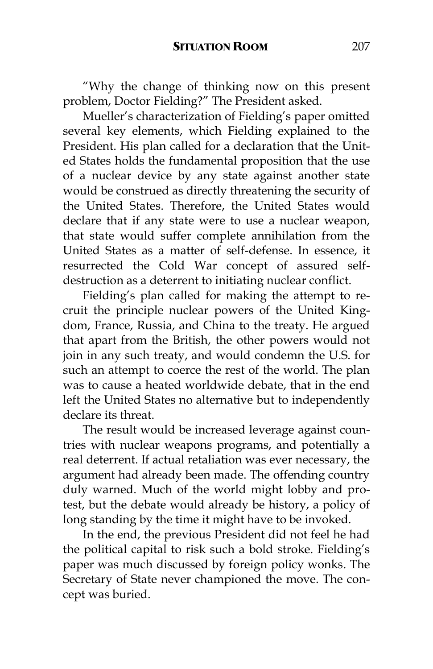"Why the change of thinking now on this present problem, Doctor Fielding?" The President asked.

Mueller's characterization of Fielding's paper omitted several key elements, which Fielding explained to the President. His plan called for a declaration that the United States holds the fundamental proposition that the use of a nuclear device by any state against another state would be construed as directly threatening the security of the United States. Therefore, the United States would declare that if any state were to use a nuclear weapon, that state would suffer complete annihilation from the United States as a matter of self-defense. In essence, it resurrected the Cold War concept of assured selfdestruction as a deterrent to initiating nuclear conflict.

Fielding's plan called for making the attempt to recruit the principle nuclear powers of the United Kingdom, France, Russia, and China to the treaty. He argued that apart from the British, the other powers would not join in any such treaty, and would condemn the U.S. for such an attempt to coerce the rest of the world. The plan was to cause a heated worldwide debate, that in the end left the United States no alternative but to independently declare its threat.

The result would be increased leverage against countries with nuclear weapons programs, and potentially a real deterrent. If actual retaliation was ever necessary, the argument had already been made. The offending country duly warned. Much of the world might lobby and protest, but the debate would already be history, a policy of long standing by the time it might have to be invoked.

In the end, the previous President did not feel he had the political capital to risk such a bold stroke. Fielding"s paper was much discussed by foreign policy wonks. The Secretary of State never championed the move. The concept was buried.